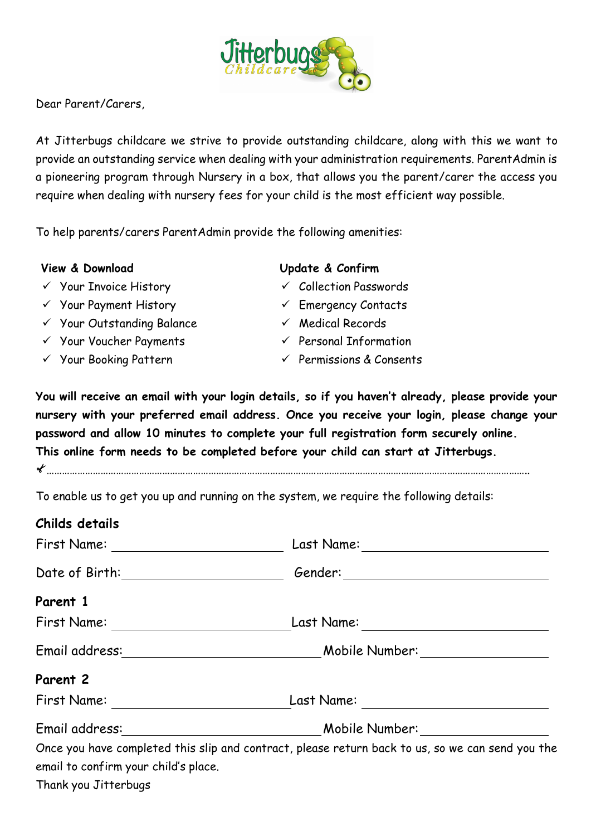

Dear Parent/Carers,

At Jitterbugs childcare we strive to provide outstanding childcare, along with this we want to provide an outstanding service when dealing with your administration requirements. ParentAdmin is a pioneering program through Nursery in a box, that allows you the parent/carer the access you require when dealing with nursery fees for your child is the most efficient way possible.

To help parents/carers ParentAdmin provide the following amenities:

## **View & Download**

- $\checkmark$  Your Invoice History
- $\checkmark$  Your Payment History
- Your Outstanding Balance
- $\checkmark$  Your Voucher Payments
- $\checkmark$  Your Booking Pattern

## **Update & Confirm**

- $\checkmark$  Collection Passwords
- $\checkmark$  Emergency Contacts
- $\checkmark$  Medical Records
- $\checkmark$  Personal Information
- $\checkmark$  Permissions & Consents

**You will receive an email with your login details, so if you haven't already, please provide your nursery with your preferred email address. Once you receive your login, please change your password and allow 10 minutes to complete your full registration form securely online. This online form needs to be completed before your child can start at Jitterbugs.**

……………………………………………………………………………………………………………………………………………………………………..

To enable us to get you up and running on the system, we require the following details:

## **Childs details**

| First Name: _____________________    | Last Name: <u>_________________</u>                                                              |  |  |  |
|--------------------------------------|--------------------------------------------------------------------------------------------------|--|--|--|
| Date of Birth: __________________    |                                                                                                  |  |  |  |
| Parent 1                             |                                                                                                  |  |  |  |
| First Name: ______________________   |                                                                                                  |  |  |  |
|                                      |                                                                                                  |  |  |  |
| Parent 2                             |                                                                                                  |  |  |  |
| First Name:                          |                                                                                                  |  |  |  |
|                                      |                                                                                                  |  |  |  |
|                                      | Once you have completed this slip and contract, please return back to us, so we can send you the |  |  |  |
| email to confirm your child's place. |                                                                                                  |  |  |  |
| Thank you Jitterbugs                 |                                                                                                  |  |  |  |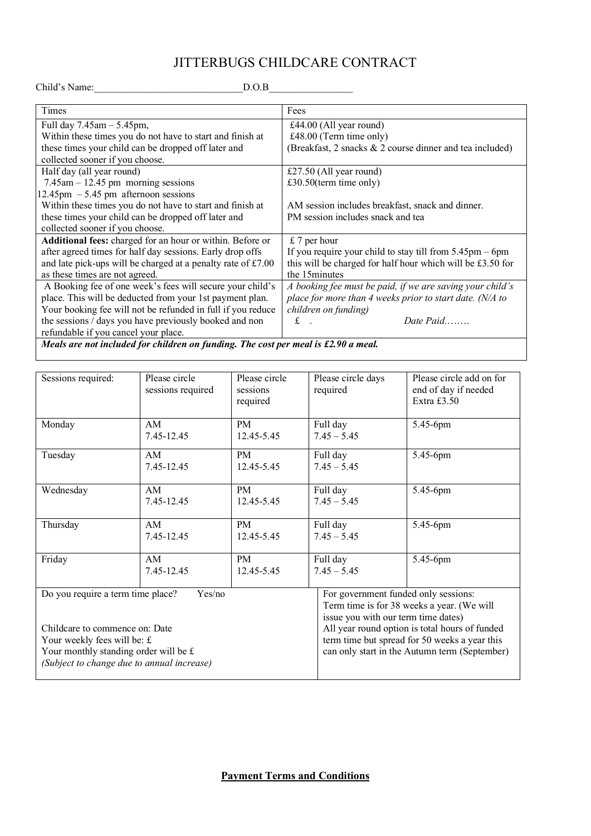## JITTERBUGS CHILDCARE CONTRACT

Child's Name:\_\_\_\_\_\_\_\_\_\_\_\_\_\_\_\_\_\_\_\_\_\_\_\_\_\_\_\_\_\_D.O.B\_\_\_\_\_\_\_\_\_\_\_\_\_\_\_\_\_

| Times                                                                                | Fees                                                          |  |  |  |  |
|--------------------------------------------------------------------------------------|---------------------------------------------------------------|--|--|--|--|
| Full day $7.45am - 5.45pm$ ,                                                         | £44.00 (All year round)                                       |  |  |  |  |
| Within these times you do not have to start and finish at                            | £48.00 (Term time only)                                       |  |  |  |  |
| these times your child can be dropped off later and                                  | (Breakfast, 2 snacks & 2 course dinner and tea included)      |  |  |  |  |
| collected sooner if you choose.                                                      |                                                               |  |  |  |  |
| Half day (all year round)                                                            | £27.50 (All year round)                                       |  |  |  |  |
| $7.45$ am $-12.45$ pm morning sessions                                               | £30.50(term time only)                                        |  |  |  |  |
| $12.45 \text{pm} - 5.45 \text{pm}$ afternoon sessions                                |                                                               |  |  |  |  |
| Within these times you do not have to start and finish at                            | AM session includes breakfast, snack and dinner.              |  |  |  |  |
| these times your child can be dropped off later and                                  | PM session includes snack and tea                             |  |  |  |  |
| collected sooner if you choose.                                                      |                                                               |  |  |  |  |
| Additional fees: charged for an hour or within. Before or                            | $£ 7$ per hour                                                |  |  |  |  |
| after agreed times for half day sessions. Early drop offs                            | If you require your child to stay till from $5.45$ pm $-6$ pm |  |  |  |  |
| and late pick-ups will be charged at a penalty rate of £7.00                         | this will be charged for half hour which will be £3.50 for    |  |  |  |  |
| as these times are not agreed.                                                       | the 15minutes                                                 |  |  |  |  |
| A Booking fee of one week's fees will secure your child's                            | A booking fee must be paid, if we are saving your child's     |  |  |  |  |
| place. This will be deducted from your 1st payment plan.                             | place for more than 4 weeks prior to start date. (N/A to      |  |  |  |  |
| Your booking fee will not be refunded in full if you reduce                          | children on funding)                                          |  |  |  |  |
| the sessions / days you have previously booked and non                               | Date Paid<br>$\mathbf f$ .                                    |  |  |  |  |
| refundable if you cancel your place.                                                 |                                                               |  |  |  |  |
| Meals are not included for children on funding. The cost per meal is $£2.90$ a meal. |                                                               |  |  |  |  |
|                                                                                      |                                                               |  |  |  |  |

| Sessions required:                                                                                                                                        | Please circle<br>sessions required | Please circle<br>sessions<br>required | Please circle days<br>required                                                                                                                                                                                                                                                | Please circle add on for<br>end of day if needed<br>Extra £3.50 |
|-----------------------------------------------------------------------------------------------------------------------------------------------------------|------------------------------------|---------------------------------------|-------------------------------------------------------------------------------------------------------------------------------------------------------------------------------------------------------------------------------------------------------------------------------|-----------------------------------------------------------------|
| Monday                                                                                                                                                    | AM<br>7.45-12.45                   | <b>PM</b><br>12.45-5.45               | Full day<br>$7.45 - 5.45$                                                                                                                                                                                                                                                     | 5.45-6pm                                                        |
| Tuesday                                                                                                                                                   | AM<br>7.45-12.45                   | PM.<br>12.45-5.45                     | Full day<br>$7.45 - 5.45$                                                                                                                                                                                                                                                     | 5.45-6pm                                                        |
| Wednesday                                                                                                                                                 | AM<br>7.45-12.45                   | PM<br>12.45-5.45                      | Full day<br>$7.45 - 5.45$                                                                                                                                                                                                                                                     | 5.45-6pm                                                        |
| Thursday                                                                                                                                                  | AM<br>7.45-12.45                   | <b>PM</b><br>12.45-5.45               | Full day<br>$7.45 - 5.45$                                                                                                                                                                                                                                                     | 5.45-6pm                                                        |
| Friday                                                                                                                                                    | AM<br>7.45-12.45                   | PM<br>12.45-5.45                      | Full day<br>$7.45 - 5.45$                                                                                                                                                                                                                                                     | 5.45-6pm                                                        |
| Do you require a term time place?<br>Yes/no<br>Childcare to commence on: Date<br>Your weekly fees will be: $f$ .<br>Your monthly standing order will be £ |                                    |                                       | For government funded only sessions:<br>Term time is for 38 weeks a year. (We will<br>issue you with our term time dates)<br>All year round option is total hours of funded<br>term time but spread for 50 weeks a year this<br>can only start in the Autumn term (September) |                                                                 |
| (Subject to change due to annual increase)                                                                                                                |                                    |                                       |                                                                                                                                                                                                                                                                               |                                                                 |